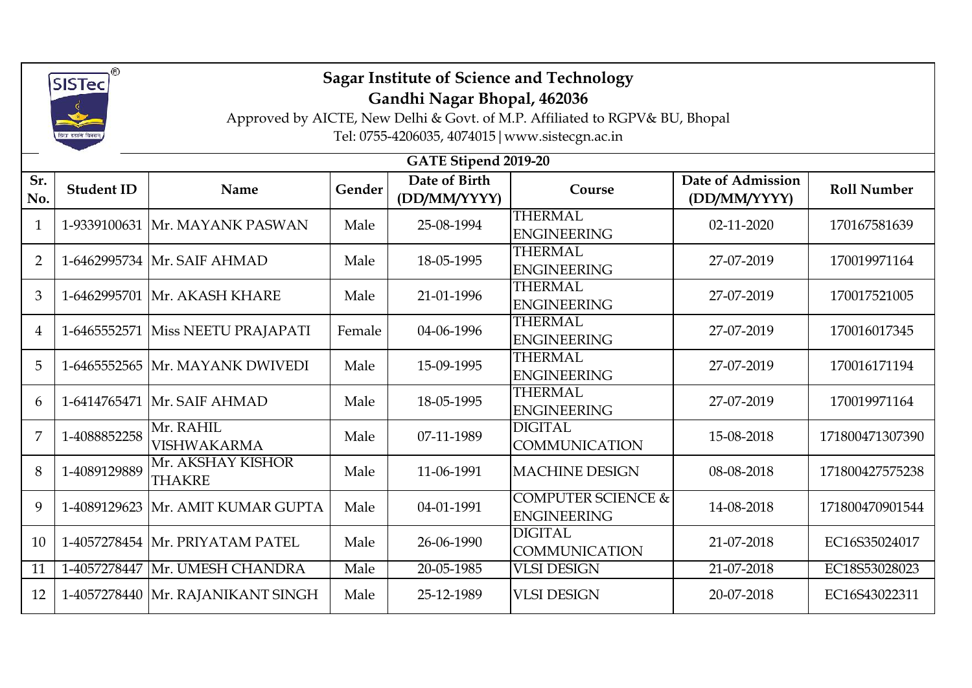

## **Sagar Institute of Science and Technology**

**Gandhi Nagar Bhopal, 462036**

Approved by AICTE, New Delhi & Govt. of M.P. Affiliated to RGPV& BU, Bhopal

Tel: 0755-4206035, 4074015|www.sistecgn.ac.in

|                | GATE Stipend 2019-20 |                                     |        |                               |                                                     |                                   |                    |  |  |  |  |  |
|----------------|----------------------|-------------------------------------|--------|-------------------------------|-----------------------------------------------------|-----------------------------------|--------------------|--|--|--|--|--|
| Sr.<br>No.     | <b>Student ID</b>    | Name                                | Gender | Date of Birth<br>(DD/MM/YYYY) | Course                                              | Date of Admission<br>(DD/MM/YYYY) | <b>Roll Number</b> |  |  |  |  |  |
| $\mathbf{1}$   |                      | 1-9339100631 Mr. MAYANK PASWAN      | Male   | 25-08-1994                    | <b>THERMAL</b><br><b>ENGINEERING</b>                | 02-11-2020                        | 170167581639       |  |  |  |  |  |
| $\overline{2}$ |                      | 1-6462995734 Mr. SAIF AHMAD         | Male   | 18-05-1995                    | <b>THERMAL</b><br><b>ENGINEERING</b>                | 27-07-2019                        | 170019971164       |  |  |  |  |  |
| 3              |                      | 1-6462995701 Mr. AKASH KHARE        | Male   | 21-01-1996                    | <b>THERMAL</b><br><b>ENGINEERING</b>                | 27-07-2019                        | 170017521005       |  |  |  |  |  |
| $\overline{4}$ |                      | 1-6465552571 Miss NEETU PRAJAPATI   | Female | 04-06-1996                    | <b>THERMAL</b><br><b>ENGINEERING</b>                | 27-07-2019                        | 170016017345       |  |  |  |  |  |
| 5              |                      | 1-6465552565 Mr. MAYANK DWIVEDI     | Male   | 15-09-1995                    | <b>THERMAL</b><br><b>ENGINEERING</b>                | 27-07-2019                        | 170016171194       |  |  |  |  |  |
| 6              |                      | 1-6414765471 Mr. SAIF AHMAD         | Male   | 18-05-1995                    | <b>THERMAL</b><br><b>ENGINEERING</b>                | 27-07-2019                        | 170019971164       |  |  |  |  |  |
| 7              | 1-4088852258         | Mr. RAHIL<br><b>VISHWAKARMA</b>     | Male   | 07-11-1989                    | <b>DIGITAL</b><br><b>COMMUNICATION</b>              | 15-08-2018                        | 171800471307390    |  |  |  |  |  |
| 8              | 1-4089129889         | Mr. AKSHAY KISHOR<br><b>THAKRE</b>  | Male   | 11-06-1991                    | <b>MACHINE DESIGN</b>                               | 08-08-2018                        | 171800427575238    |  |  |  |  |  |
| 9              |                      | 1-4089129623 Mr. AMIT KUMAR GUPTA   | Male   | 04-01-1991                    | <b>COMPUTER SCIENCE &amp;</b><br><b>ENGINEERING</b> | 14-08-2018                        | 171800470901544    |  |  |  |  |  |
| 10             |                      | 1-4057278454 Mr. PRIYATAM PATEL     | Male   | 26-06-1990                    | <b>DIGITAL</b><br><b>COMMUNICATION</b>              | 21-07-2018                        | EC16S35024017      |  |  |  |  |  |
| 11             |                      | 1-4057278447 Mr. UMESH CHANDRA      | Male   | 20-05-1985                    | <b>VLSI DESIGN</b>                                  | 21-07-2018                        | EC18S53028023      |  |  |  |  |  |
| 12             |                      | 1-4057278440   Mr. RAJANIKANT SINGH | Male   | 25-12-1989                    | <b>VLSI DESIGN</b>                                  | 20-07-2018                        | EC16S43022311      |  |  |  |  |  |